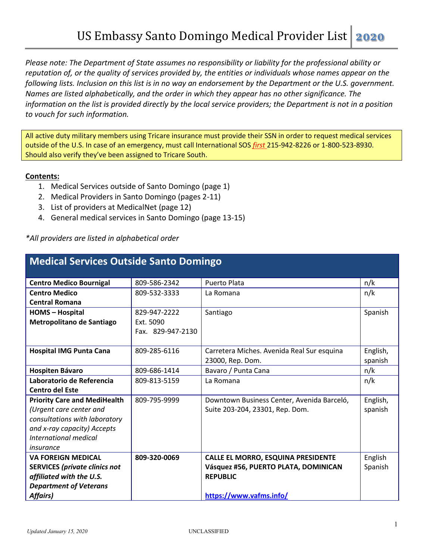*Please note: The Department of State assumes no responsibility or liability for the professional ability or reputation of, or the quality of services provided by, the entities or individuals whose names appear on the following lists. Inclusion on this list is in no way an endorsement by the Department or the U.S. government. Names are listed alphabetically, and the order in which they appear has no other significance. The information on the list is provided directly by the local service providers; the Department is not in a position to vouch for such information.* 

All active duty military members using Tricare insurance must provide their SSN in order to request medical services outside of the U.S. In case of an emergency, must call International SOS *first* 215-942-8226 or 1-800-523-8930. Should also verify they've been assigned to Tricare South.

#### **Contents:**

- 1. Medical Services outside of Santo Domingo (page 1)
- 2. Medical Providers in Santo Domingo (pages 2-11)
- 3. List of providers at MedicalNet (page 12)
- 4. General medical services in Santo Domingo (page 13-15)

*\*All providers are listed in alphabetical order*

| <b>Medical Services Outside Santo Domingo</b> |                   |                                            |          |
|-----------------------------------------------|-------------------|--------------------------------------------|----------|
| <b>Centro Medico Bournigal</b>                | 809-586-2342      | Puerto Plata                               | n/k      |
| <b>Centro Medico</b>                          | 809-532-3333      |                                            |          |
|                                               |                   | La Romana                                  | n/k      |
| <b>Central Romana</b>                         |                   |                                            |          |
| <b>HOMS</b> - Hospital                        | 829-947-2222      | Santiago                                   | Spanish  |
| Metropolitano de Santiago                     | Ext. 5090         |                                            |          |
|                                               | Fax. 829-947-2130 |                                            |          |
| <b>Hospital IMG Punta Cana</b>                | 809-285-6116      | Carretera Miches. Avenida Real Sur esquina | English, |
|                                               |                   | 23000, Rep. Dom.                           | spanish  |
| Hospiten Bávaro                               | 809-686-1414      | Bavaro / Punta Cana                        | n/k      |
| Laboratorio de Referencia                     | 809-813-5159      | La Romana                                  | n/k      |
| <b>Centro del Este</b>                        |                   |                                            |          |
| <b>Priority Care and MediHealth</b>           | 809-795-9999      | Downtown Business Center, Avenida Barceló, | English, |
| (Urgent care center and                       |                   | Suite 203-204, 23301, Rep. Dom.            | spanish  |
| consultations with laboratory                 |                   |                                            |          |
| and x-ray capacity) Accepts                   |                   |                                            |          |
| International medical                         |                   |                                            |          |
| insurance                                     |                   |                                            |          |
| <b>VA FOREIGN MEDICAL</b>                     | 809-320-0069      | <b>CALLE EL MORRO, ESQUINA PRESIDENTE</b>  | English  |
| <b>SERVICES (private clinics not</b>          |                   | Vásquez #56, PUERTO PLATA, DOMINICAN       | Spanish  |
| affiliated with the U.S.                      |                   | <b>REPUBLIC</b>                            |          |
| <b>Department of Veterans</b>                 |                   |                                            |          |
| <b>Affairs)</b>                               |                   | https://www.vafms.info/                    |          |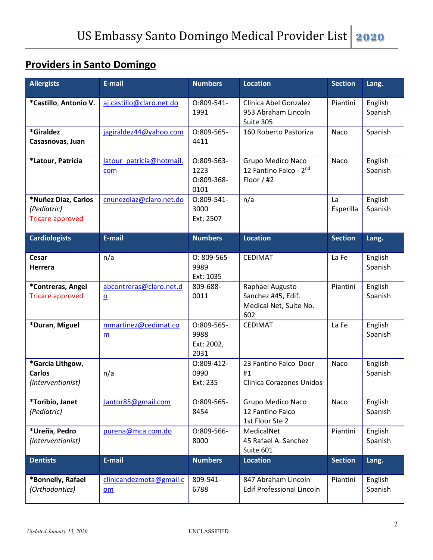#### **Providers in Santo Domingo**

| <b>Allergists</b>                                             | E-mail                                               | <b>Numbers</b>                           | <b>Location</b>                                                        | <b>Section</b>  | Lang.              |
|---------------------------------------------------------------|------------------------------------------------------|------------------------------------------|------------------------------------------------------------------------|-----------------|--------------------|
| *Castillo, Antonio V.                                         | aj.castillo@claro.net.do                             | 0:809-541-<br>1991                       | Clinica Abel Gonzalez<br>953 Abraham Lincoln<br>Suite 305              | Piantini        | English<br>Spanish |
| *Giraldez<br>Casasnovas, Juan                                 | jagiraldez44@yahoo.com                               | 0:809-565-<br>4411                       | 160 Roberto Pastoriza                                                  | Naco            | Spanish            |
| *Latour, Patricia                                             | latour patricia@hotmail.<br>com                      | 0:809-563-<br>1223<br>0:809-368-<br>0101 | Grupo Medico Naco<br>12 Fantino Falco - 2nd<br>Floor $/$ #2            | Naco            | English<br>Spanish |
| *Nuñez Diaz, Carlos<br>(Pediatric)<br><b>Tricare approved</b> | cnunezdiaz@claro.net.do                              | 0:809-541-<br>3000<br>Ext: 2507          | n/a                                                                    | La<br>Esperilla | English<br>Spanish |
| <b>Cardiologists</b>                                          | E-mail                                               | <b>Numbers</b>                           | <b>Location</b>                                                        | <b>Section</b>  | Lang.              |
| Cesar<br><b>Herrera</b>                                       | n/a                                                  | $O: 809 - 565 -$<br>9989<br>Ext: 1035    | <b>CEDIMAT</b>                                                         | La Fe           | English<br>Spanish |
| *Contreras, Angel<br><b>Tricare approved</b>                  | abcontreras@claro.net.d<br>$\Omega$                  | 809-688-<br>0011                         | Raphael Augusto<br>Sanchez #45, Edif.<br>Medical Net, Suite No.<br>602 | Piantini        | English<br>Spanish |
| *Duran, Miguel                                                | mmartinez@cedimat.co<br>m                            | 0:809-565-<br>9988<br>Ext: 2002,<br>2031 | <b>CEDIMAT</b>                                                         | La Fe           | English<br>Spanish |
| *Garcia Lithgow,<br><b>Carlos</b><br>(Interventionist)        | n/a                                                  | 0:809-412-<br>0990<br>Ext: 235           | 23 Fantino Falco Door<br>#1<br><b>Clinica Corazones Unidos</b>         | Naco            | English<br>Spanish |
| *Toribio, Janet<br>(Pediatric)                                | Jantor85@gmail.com                                   | O:809-565-<br>8454                       | Grupo Medico Naco<br>12 Fantino Falco<br>1st Floor Ste 2               | Naco            | English<br>Spanish |
| *Ureña, Pedro<br>(Interventionist)                            | purena@mca.com.do                                    | 0:809-566-<br>8000                       | MedicalNet<br>45 Rafael A. Sanchez<br>Suite 601                        | Piantini        | English<br>Spanish |
| <b>Dentists</b>                                               | E-mail                                               | <b>Numbers</b>                           | <b>Location</b>                                                        | <b>Section</b>  | Lang.              |
| *Bonnelly, Rafael<br>(Orthodontics)                           | clinicahdezmota@gmail.c<br>$\underline{\mathsf{om}}$ | 809-541-<br>6788                         | 847 Abraham Lincoln<br><b>Edif Professional Lincoln</b>                | Piantini        | English<br>Spanish |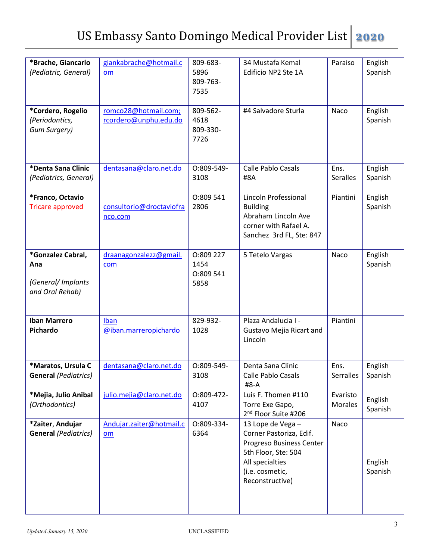| *Brache, Giancarlo<br>(Pediatric, General)                       | giankabrache@hotmail.c<br>om                  | 809-683-<br>5896<br>809-763-<br>7535   | 34 Mustafa Kemal<br>Edificio NP2 Ste 1A                                                                                                                  | Paraiso                    | English<br>Spanish |
|------------------------------------------------------------------|-----------------------------------------------|----------------------------------------|----------------------------------------------------------------------------------------------------------------------------------------------------------|----------------------------|--------------------|
| *Cordero, Rogelio<br>(Periodontics,<br>Gum Surgery)              | romco28@hotmail.com;<br>rcordero@unphu.edu.do | 809-562-<br>4618<br>809-330-<br>7726   | #4 Salvadore Sturla                                                                                                                                      | Naco                       | English<br>Spanish |
| *Denta Sana Clinic<br>(Pediatrics, General)                      | dentasana@claro.net.do                        | 0:809-549-<br>3108                     | <b>Calle Pablo Casals</b><br>#8A                                                                                                                         | Ens.<br><b>Seralles</b>    | English<br>Spanish |
| *Franco, Octavio<br><b>Tricare approved</b>                      | consultorio@droctaviofra<br>nco.com           | 0:809 541<br>2806                      | Lincoln Professional<br><b>Building</b><br>Abraham Lincoln Ave<br>corner with Rafael A.<br>Sanchez 3rd FL, Ste: 847                                      | Piantini                   | English<br>Spanish |
| *Gonzalez Cabral,<br>Ana<br>(General/Implants<br>and Oral Rehab) | draanagonzalezz@gmail.<br>com                 | 0:809 227<br>1454<br>0:809 541<br>5858 | 5 Tetelo Vargas                                                                                                                                          | Naco                       | English<br>Spanish |
| <b>Iban Marrero</b><br>Pichardo                                  | Iban<br>@iban.marreropichardo                 | 829-932-<br>1028                       | Plaza Andalucia I -<br>Gustavo Mejia Ricart and<br>Lincoln                                                                                               | Piantini                   |                    |
| *Maratos, Ursula C<br><b>General</b> (Pediatrics)                | dentasana@claro.net.do                        | O:809-549-<br>3108                     | Denta Sana Clinic<br><b>Calle Pablo Casals</b><br>#8-A                                                                                                   | Ens.<br>Serralles          | English<br>Spanish |
| *Mejia, Julio Anibal<br>(Orthodontics)                           | julio.mejia@claro.net.do                      | 0:809-472-<br>4107                     | Luis F. Thomen #110<br>Torre Exe Gapo,<br>2 <sup>nd</sup> Floor Suite #206                                                                               | Evaristo<br><b>Morales</b> | English<br>Spanish |
| *Zaiter, Andujar<br><b>General</b> (Pediatrics)                  | Andujar.zaiter@hotmail.c<br><b>om</b>         | 0:809-334-<br>6364                     | 13 Lope de Vega -<br>Corner Pastoriza, Edif.<br>Progreso Business Center<br>5th Floor, Ste: 504<br>All specialties<br>(i.e. cosmetic,<br>Reconstructive) | Naco                       | English<br>Spanish |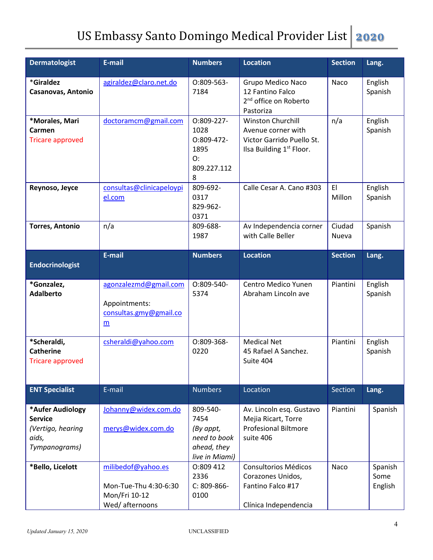| <b>Dermatologist</b>                                                              | E-mail                                                                         | <b>Numbers</b>                                                                 | <b>Location</b>                                                                                              | <b>Section</b>  | Lang.                      |
|-----------------------------------------------------------------------------------|--------------------------------------------------------------------------------|--------------------------------------------------------------------------------|--------------------------------------------------------------------------------------------------------------|-----------------|----------------------------|
| *Giraldez<br>Casanovas, Antonio                                                   | agiraldez@claro.net.do                                                         | O:809-563-<br>7184                                                             | Grupo Medico Naco<br>12 Fantino Falco<br>2 <sup>nd</sup> office on Roberto<br>Pastoriza                      | Naco            | English<br>Spanish         |
| *Morales, Mari<br>Carmen<br><b>Tricare approved</b>                               | doctoramcm@gmail.com                                                           | 0:809-227-<br>1028<br>0:809-472-<br>1895<br>O:<br>809.227.112<br>8             | Winston Churchill<br>Avenue corner with<br>Victor Garrido Puello St.<br>Ilsa Building 1 <sup>st</sup> Floor. | n/a             | English<br>Spanish         |
| Reynoso, Jeyce                                                                    | consultas@clinicapeloypi<br>el.com                                             | 809-692-<br>0317<br>829-962-<br>0371                                           | Calle Cesar A. Cano #303                                                                                     | EI<br>Millon    | English<br>Spanish         |
| <b>Torres, Antonio</b>                                                            | n/a                                                                            | 809-688-<br>1987                                                               | Av Independencia corner<br>with Calle Beller                                                                 | Ciudad<br>Nueva | Spanish                    |
| <b>Endocrinologist</b>                                                            | E-mail                                                                         | <b>Numbers</b>                                                                 | <b>Location</b>                                                                                              | <b>Section</b>  | Lang.                      |
| *Gonzalez,<br><b>Adalberto</b>                                                    | agonzalezmd@gmail.com<br>Appointments:<br>consultas.gmy@gmail.co<br>m          | O:809-540-<br>5374                                                             | Centro Medico Yunen<br>Abraham Lincoln ave                                                                   | Piantini        | English<br>Spanish         |
| *Scheraldi,<br><b>Catherine</b><br><b>Tricare approved</b>                        | csheraldi@yahoo.com                                                            | O:809-368-<br>0220                                                             | <b>Medical Net</b><br>45 Rafael A Sanchez.<br>Suite 404                                                      | Piantini        | English<br>Spanish         |
| <b>ENT Specialist</b>                                                             | E-mail                                                                         | <b>Numbers</b>                                                                 | Location                                                                                                     | Section         | Lang.                      |
| *Aufer Audiology<br><b>Service</b><br>(Vertigo, hearing<br>aids,<br>Tympanograms) | Johanny@widex.com.do<br>merys@widex.com.do                                     | 809-540-<br>7454<br>(By appt,<br>need to book<br>ahead, they<br>live in Miami) | Av. Lincoln esq. Gustavo<br>Mejia Ricart, Torre<br><b>Profesional Biltmore</b><br>suite 406                  | Piantini        | Spanish                    |
| *Bello, Licelott                                                                  | milibedof@yahoo.es<br>Mon-Tue-Thu 4:30-6:30<br>Mon/Fri 10-12<br>Wed/afternoons | 0:809 412<br>2336<br>$C: 809-866-$<br>0100                                     | <b>Consultorios Médicos</b><br>Corazones Unidos,<br>Fantino Falco #17<br>Clínica Independencia               | Naco            | Spanish<br>Some<br>English |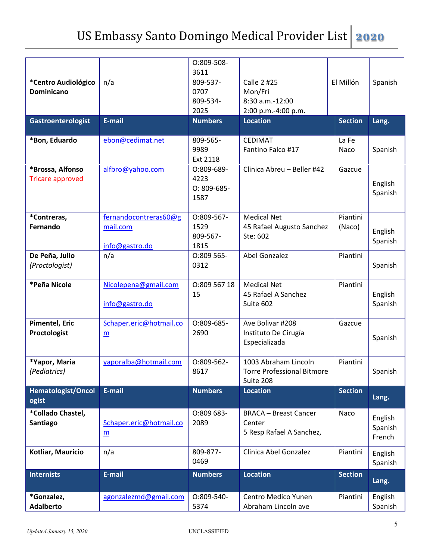|                                             |                                                     | O:809-508-                                   |                                                                        |                    |                              |
|---------------------------------------------|-----------------------------------------------------|----------------------------------------------|------------------------------------------------------------------------|--------------------|------------------------------|
| *Centro Audiológico<br><b>Dominicano</b>    | n/a                                                 | 3611<br>809-537-<br>0707<br>809-534-<br>2025 | Calle 2 #25<br>Mon/Fri<br>8:30 a.m.-12:00<br>2:00 p.m.-4:00 p.m.       | El Millón          | Spanish                      |
| Gastroenterologist                          | E-mail                                              | <b>Numbers</b>                               | <b>Location</b>                                                        | <b>Section</b>     | Lang.                        |
| *Bon, Eduardo                               | ebon@cedimat.net                                    | 809-565-<br>9989<br>Ext 2118                 | <b>CEDIMAT</b><br>Fantino Falco #17                                    | La Fe<br>Naco      | Spanish                      |
| *Brossa, Alfonso<br><b>Tricare approved</b> | alfbro@yahoo.com                                    | O:809-689-<br>4223<br>$O: 809-685-$<br>1587  | Clinica Abreu - Beller #42                                             | Gazcue             | English<br>Spanish           |
| *Contreras,<br>Fernando                     | fernandocontreras60@g<br>mail.com<br>info@gastro.do | 0:809-567-<br>1529<br>809-567-<br>1815       | <b>Medical Net</b><br>45 Rafael Augusto Sanchez<br>Ste: 602            | Piantini<br>(Naco) | English<br>Spanish           |
| De Peña, Julio<br>(Proctologist)            | n/a                                                 | O:809 565-<br>0312                           | Abel Gonzalez                                                          | Piantini           | Spanish                      |
| *Peña Nicole                                | Nicolepena@gmail.com<br>info@gastro.do              | 0:809 567 18<br>15                           | <b>Medical Net</b><br>45 Rafael A Sanchez<br>Suite 602                 | Piantini           | English<br>Spanish           |
| <b>Pimentel, Eric</b><br>Proctologist       | Schaper.eric@hotmail.co<br>m                        | O:809-685-<br>2690                           | Ave Bolivar #208<br>Instituto De Cirugía<br>Especializada              | Gazcue             | Spanish                      |
| *Yapor, Maria<br>(Pediatrics)               | yaporalba@hotmail.com                               | 0:809-562-<br>8617                           | 1003 Abraham Lincoln<br><b>Torre Professional Bitmore</b><br>Suite 208 | Piantini           | Spanish                      |
| <b>Hematologist/Oncol</b><br>ogist          | E-mail                                              | <b>Numbers</b>                               | <b>Location</b>                                                        | <b>Section</b>     | Lang.                        |
| *Collado Chastel,<br>Santiago               | Schaper.eric@hotmail.co<br>m                        | O:809 683-<br>2089                           | <b>BRACA - Breast Cancer</b><br>Center<br>5 Resp Rafael A Sanchez,     | Naco               | English<br>Spanish<br>French |
| Kotliar, Mauricio                           | n/a                                                 | 809-877-<br>0469                             | Clinica Abel Gonzalez                                                  | Piantini           | English<br>Spanish           |
| <b>Internists</b>                           | E-mail                                              | <b>Numbers</b>                               | <b>Location</b>                                                        | <b>Section</b>     | Lang.                        |
| *Gonzalez,<br><b>Adalberto</b>              | agonzalezmd@gmail.com                               | O:809-540-<br>5374                           | Centro Medico Yunen<br>Abraham Lincoln ave                             | Piantini           | English<br>Spanish           |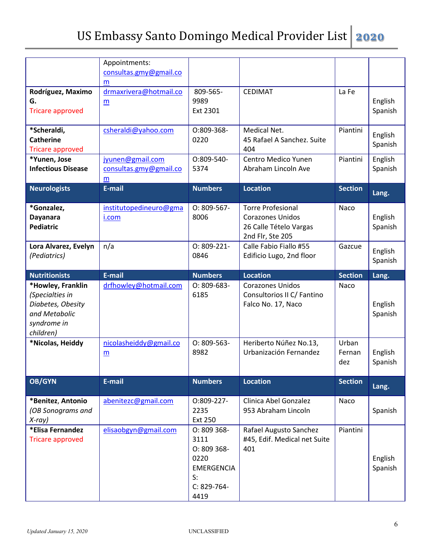|                           | Appointments:          |                     |                              |                |         |
|---------------------------|------------------------|---------------------|------------------------------|----------------|---------|
|                           | consultas.gmy@gmail.co |                     |                              |                |         |
|                           | m                      |                     |                              |                |         |
| Rodríguez, Maximo         | drmaxrivera@hotmail.co | 809-565-            | <b>CEDIMAT</b>               | La Fe          |         |
| G.                        | m                      | 9989                |                              |                | English |
| <b>Tricare approved</b>   |                        | Ext 2301            |                              |                | Spanish |
|                           |                        |                     |                              |                |         |
| *Scheraldi,               | csheraldi@yahoo.com    | O:809-368-          | Medical Net.                 | Piantini       | English |
| <b>Catherine</b>          |                        | 0220                | 45 Rafael A Sanchez. Suite   |                |         |
| <b>Tricare approved</b>   |                        |                     | 404                          |                | Spanish |
| *Yunen, Jose              | jyunen@gmail.com       | O:809-540-          | Centro Medico Yunen          | Piantini       | English |
| <b>Infectious Disease</b> | consultas.gmy@gmail.co | 5374                | Abraham Lincoln Ave          |                | Spanish |
|                           | m                      |                     |                              |                |         |
| <b>Neurologists</b>       | E-mail                 | <b>Numbers</b>      | <b>Location</b>              | <b>Section</b> |         |
|                           |                        |                     |                              |                | Lang.   |
| *Gonzalez,                | institutopedineuro@gma | $O: 809 - 567 -$    | <b>Torre Profesional</b>     | Naco           |         |
| <b>Dayanara</b>           | i.com                  | 8006                | <b>Corazones Unidos</b>      |                | English |
| <b>Pediatric</b>          |                        |                     | 26 Calle Tételo Vargas       |                | Spanish |
|                           |                        |                     | 2nd Flr, Ste 205             |                |         |
|                           | n/a                    | $O: 809 - 221 -$    | Calle Fabio Fiallo #55       | Gazcue         |         |
| Lora Alvarez, Evelyn      |                        |                     |                              |                | English |
| (Pediatrics)              |                        | 0846                | Edificio Lugo, 2nd floor     |                | Spanish |
|                           |                        |                     |                              |                |         |
| <b>Nutritionists</b>      | E-mail                 | <b>Numbers</b>      | <b>Location</b>              | <b>Section</b> | Lang.   |
|                           |                        |                     |                              |                |         |
| *Howley, Franklin         | drfhowley@hotmail.com  | $O: 809-683-$       | <b>Corazones Unidos</b>      | Naco           |         |
| (Specialties in           |                        | 6185                | Consultorios II C/ Fantino   |                |         |
| Diabetes, Obesity         |                        |                     | Falco No. 17, Naco           |                | English |
| and Metabolic             |                        |                     |                              |                | Spanish |
| syndrome in               |                        |                     |                              |                |         |
| children)                 |                        |                     |                              |                |         |
|                           |                        |                     |                              |                |         |
| *Nicolas, Heiddy          | nicolasheiddy@gmail.co | $O: 809 - 563 -$    | Heriberto Núñez No.13,       | Urban          |         |
|                           | m                      | 8982                | Urbanización Fernandez       | Fernan         | English |
|                           |                        |                     |                              | dez            | Spanish |
| <b>OB/GYN</b>             | E-mail                 | <b>Numbers</b>      | <b>Location</b>              | <b>Section</b> |         |
|                           |                        |                     |                              |                | Lang.   |
| *Benitez, Antonio         | abenitezc@gmail.com    | 0:809-227-          | Clinica Abel Gonzalez        | Naco           |         |
| (OB Sonograms and         |                        | 2235                | 953 Abraham Lincoln          |                | Spanish |
| $X-ray$ )                 |                        | Ext 250             |                              |                |         |
| *Elisa Fernandez          | elisaobgyn@gmail.com   | O: 809 368-         | Rafael Augusto Sanchez       | Piantini       |         |
| <b>Tricare approved</b>   |                        | 3111                | #45, Edif. Medical net Suite |                |         |
|                           |                        |                     |                              |                |         |
|                           |                        | O: 809 368-         | 401                          |                |         |
|                           |                        | 0220                |                              |                | English |
|                           |                        | <b>EMERGENCIA</b>   |                              |                | Spanish |
|                           |                        | $S$ :               |                              |                |         |
|                           |                        | C: 829-764-<br>4419 |                              |                |         |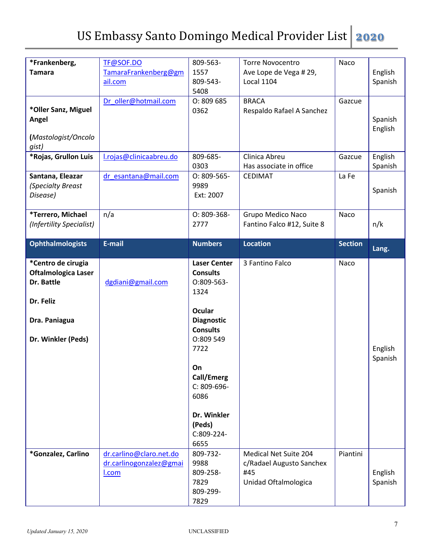| *Frankenberg,              | TF@SOF.DO               | 809-563-            | <b>Torre Novocentro</b>    | Naco           |         |
|----------------------------|-------------------------|---------------------|----------------------------|----------------|---------|
| <b>Tamara</b>              | TamaraFrankenberg@gm    | 1557                | Ave Lope de Vega # 29,     |                | English |
|                            | ail.com                 | 809-543-            | <b>Local 1104</b>          |                | Spanish |
|                            |                         | 5408                |                            |                |         |
|                            | Dr_oller@hotmail.com    | O: 809685           | <b>BRACA</b>               | Gazcue         |         |
| *Oller Sanz, Miguel        |                         | 0362                | Respaldo Rafael A Sanchez  |                |         |
| Angel                      |                         |                     |                            |                | Spanish |
|                            |                         |                     |                            |                | English |
| (Mastologist/Oncolo        |                         |                     |                            |                |         |
| gist)                      |                         |                     |                            |                |         |
| *Rojas, Grullon Luis       | I.rojas@clinicaabreu.do | 809-685-            | Clinica Abreu              | Gazcue         | English |
|                            |                         | 0303                | Has associate in office    |                | Spanish |
| Santana, Eleazar           | dr esantana@mail.com    | $O: 809 - 565 -$    | <b>CEDIMAT</b>             | La Fe          |         |
| (Specialty Breast          |                         | 9989                |                            |                |         |
|                            |                         |                     |                            |                | Spanish |
| Disease)                   |                         | Ext: 2007           |                            |                |         |
|                            |                         |                     |                            |                |         |
| *Terrero, Michael          | n/a                     | O: 809-368-         | Grupo Medico Naco          | Naco           |         |
| (Infertility Specialist)   |                         | 2777                | Fantino Falco #12, Suite 8 |                | n/k     |
|                            |                         |                     |                            |                |         |
| <b>Ophthalmologists</b>    | E-mail                  | <b>Numbers</b>      | <b>Location</b>            | <b>Section</b> | Lang.   |
|                            |                         |                     |                            |                |         |
| *Centro de cirugia         |                         | <b>Laser Center</b> | 3 Fantino Falco            | Naco           |         |
| <b>Oftalmologica Laser</b> |                         | <b>Consults</b>     |                            |                |         |
|                            |                         |                     |                            |                |         |
| Dr. Battle                 | dgdiani@gmail.com       | 0:809-563-          |                            |                |         |
|                            |                         | 1324                |                            |                |         |
| Dr. Feliz                  |                         |                     |                            |                |         |
|                            |                         | <b>Ocular</b>       |                            |                |         |
|                            |                         |                     |                            |                |         |
| Dra. Paniagua              |                         | <b>Diagnostic</b>   |                            |                |         |
|                            |                         | <b>Consults</b>     |                            |                |         |
| Dr. Winkler (Peds)         |                         | 0:809 549           |                            |                |         |
|                            |                         | 7722                |                            |                | English |
|                            |                         |                     |                            |                | Spanish |
|                            |                         | On                  |                            |                |         |
|                            |                         | Call/Emerg          |                            |                |         |
|                            |                         | C: 809-696-         |                            |                |         |
|                            |                         | 6086                |                            |                |         |
|                            |                         |                     |                            |                |         |
|                            |                         | Dr. Winkler         |                            |                |         |
|                            |                         | (Peds)              |                            |                |         |
|                            |                         | C:809-224-          |                            |                |         |
|                            |                         | 6655                |                            |                |         |
| *Gonzalez, Carlino         | dr.carlino@claro.net.do | 809-732-            | Medical Net Suite 204      | Piantini       |         |
|                            | dr.carlinogonzalez@gmai | 9988                | c/Radael Augusto Sanchex   |                |         |
|                            | <u>l.com</u>            | 809-258-            | #45                        |                |         |
|                            |                         |                     |                            |                | English |
|                            |                         | 7829                | Unidad Oftalmologica       |                | Spanish |
|                            |                         | 809-299-<br>7829    |                            |                |         |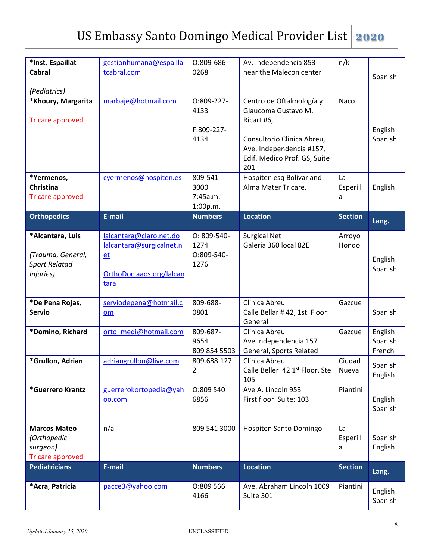| *Inst. Espaillat<br><b>Cabral</b><br>(Pediatrics)                          | gestionhumana@espailla<br>tcabral.com                                                         | 0:809-686-<br>0268                           | Av. Independencia 853<br>near the Malecon center                                                                                                               | n/k                 | Spanish                      |
|----------------------------------------------------------------------------|-----------------------------------------------------------------------------------------------|----------------------------------------------|----------------------------------------------------------------------------------------------------------------------------------------------------------------|---------------------|------------------------------|
| *Khoury, Margarita<br><b>Tricare approved</b>                              | marbaje@hotmail.com                                                                           | 0:809-227-<br>4133<br>F:809-227-<br>4134     | Centro de Oftalmología y<br>Glaucoma Gustavo M.<br>Ricart #6,<br>Consultorio Clinica Abreu,<br>Ave. Independencia #157,<br>Edif. Medico Prof. GS, Suite<br>201 | Naco                | English<br>Spanish           |
| *Yermenos,<br>Christina<br><b>Tricare approved</b>                         | cyermenos@hospiten.es                                                                         | 809-541-<br>3000<br>$7:45a.m. -$<br>1:00p.m. | Hospiten esq Bolivar and<br>Alma Mater Tricare.                                                                                                                | La<br>Esperill<br>a | English                      |
| <b>Orthopedics</b>                                                         | E-mail                                                                                        | <b>Numbers</b>                               | <b>Location</b>                                                                                                                                                | <b>Section</b>      | Lang.                        |
| *Alcantara, Luis<br>(Trauma, General,<br><b>Sport Relatad</b><br>Injuries) | lalcantara@claro.net.do<br>lalcantara@surgicalnet.n<br>et<br>OrthoDoc.aaos.org/lalcan<br>tara | O: 809-540-<br>1274<br>O:809-540-<br>1276    | <b>Surgical Net</b><br>Galeria 360 local 82E                                                                                                                   | Arroyo<br>Hondo     | English<br>Spanish           |
| *De Pena Rojas,<br><b>Servio</b>                                           | serviodepena@hotmail.c<br>om                                                                  | 809-688-<br>0801                             | Clinica Abreu<br>Calle Bellar #42, 1st Floor<br>General                                                                                                        | Gazcue              | Spanish                      |
| *Domino, Richard                                                           | orto medi@hotmail.com                                                                         | 809-687-<br>9654<br>809 854 5503             | Clinica Abreu<br>Ave Independencia 157<br>General, Sports Related                                                                                              | Gazcue              | English<br>Spanish<br>French |
| *Grullon, Adrian                                                           | adriangrullon@live.com                                                                        | 809.688.127<br>$\overline{2}$                | Clinica Abreu<br>Calle Beller 42 1 <sup>st</sup> Floor, Ste<br>105                                                                                             | Ciudad<br>Nueva     | Spanish<br>English           |
| *Guerrero Krantz                                                           | guerrerokortopedia@yah<br>oo.com                                                              | O:809 540<br>6856                            | Ave A. Lincoln 953<br>First floor Suite: 103                                                                                                                   | Piantini            | English<br>Spanish           |
| <b>Marcos Mateo</b><br>(Orthopedic<br>surgeon)<br><b>Tricare approved</b>  | n/a                                                                                           | 809 541 3000                                 | Hospiten Santo Domingo                                                                                                                                         | La<br>Esperill<br>a | Spanish<br>English           |
| <b>Pediatricians</b>                                                       | E-mail                                                                                        | <b>Numbers</b>                               | <b>Location</b>                                                                                                                                                | <b>Section</b>      | Lang.                        |
| *Acra, Patricia                                                            | pacce3@yahoo.com                                                                              | 0:809 566<br>4166                            | Ave. Abraham Lincoln 1009<br>Suite 301                                                                                                                         | Piantini            | English<br>Spanish           |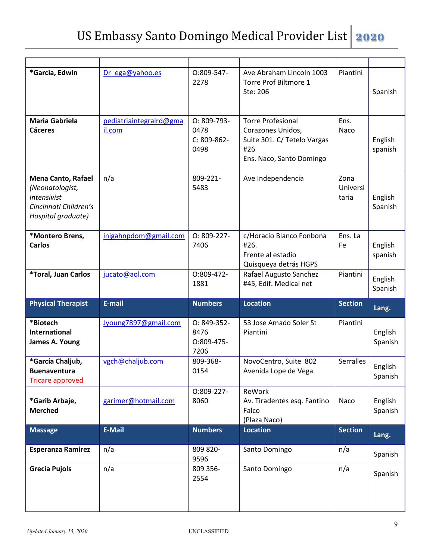| *Garcia, Edwin                                                                                                    | Dr ega@yahoo.es                   | 0:809-547-<br>2278                           | Ave Abraham Lincoln 1003<br>Torre Prof Biltmore 1<br>Ste: 206                                                   | Piantini                  | Spanish            |
|-------------------------------------------------------------------------------------------------------------------|-----------------------------------|----------------------------------------------|-----------------------------------------------------------------------------------------------------------------|---------------------------|--------------------|
| <b>Maria Gabriela</b><br><b>Cáceres</b>                                                                           | pediatriaintegralrd@gma<br>il.com | O: 809-793-<br>0478<br>$C: 809-862-$<br>0498 | <b>Torre Profesional</b><br>Corazones Unidos,<br>Suite 301. C/ Tetelo Vargas<br>#26<br>Ens. Naco, Santo Domingo | Ens.<br>Naco              | English<br>spanish |
| <b>Mena Canto, Rafael</b><br>(Neonatologist,<br><b>Intensivist</b><br>Cincinnati Children's<br>Hospital graduate) | n/a                               | 809-221-<br>5483                             | Ave Independencia                                                                                               | Zona<br>Universi<br>taria | English<br>Spanish |
| *Montero Brens,<br><b>Carlos</b>                                                                                  | inigahnpdom@gmail.com             | O: 809-227-<br>7406                          | c/Horacio Blanco Fonbona<br>#26.<br>Frente al estadio<br>Quisqueya detrás HGPS                                  | Ens. La<br>Fe             | English<br>spanish |
| *Toral, Juan Carlos                                                                                               | jucato@aol.com                    | 0:809-472-<br>1881                           | Rafael Augusto Sanchez<br>#45, Edif. Medical net                                                                | Piantini                  | English<br>Spanish |
| <b>Physical Therapist</b>                                                                                         | E-mail                            | <b>Numbers</b>                               | <b>Location</b>                                                                                                 | <b>Section</b>            | Lang.              |
| *Biotech<br><b>International</b><br>James A. Young                                                                | Jyoung7897@gmail.com              | $O: 849-352-$<br>8476<br>0:809-475-<br>7206  | 53 Jose Amado Soler St<br>Piantini                                                                              | Piantini                  | English<br>Spanish |
| *García Chaljub,<br><b>Buenaventura</b><br><b>Tricare approved</b>                                                | vgch@chaljub.com                  | 809-368-<br>0154                             | NovoCentro, Suite 802<br>Avenida Lope de Vega                                                                   | <b>Serralles</b>          | English<br>Spanish |
| *Garib Arbaje,<br><b>Merched</b>                                                                                  | garimer@hotmail.com               | 0:809-227-<br>8060                           | ReWork<br>Av. Tiradentes esq. Fantino<br>Falco<br>(Plaza Naco)                                                  | Naco                      | English<br>Spanish |
| <b>Massage</b>                                                                                                    | <b>E-Mail</b>                     | <b>Numbers</b>                               | <b>Location</b>                                                                                                 | <b>Section</b>            | Lang.              |
| <b>Esperanza Ramirez</b>                                                                                          | n/a                               | 809 820-<br>9596                             | Santo Domingo                                                                                                   | n/a                       | Spanish            |
| <b>Grecia Pujols</b>                                                                                              | n/a                               | 809 356-<br>2554                             | Santo Domingo                                                                                                   | n/a                       | Spanish            |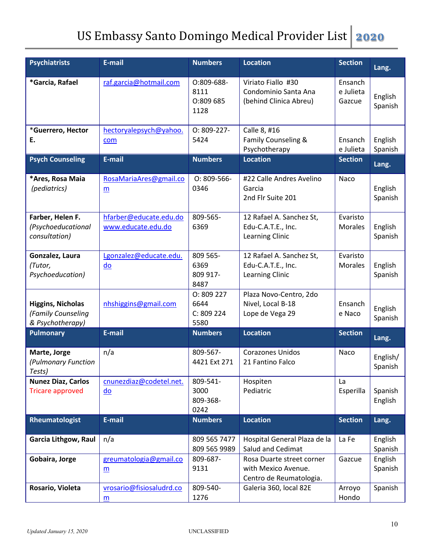| <b>Psychiatrists</b>                                               | E-mail                                               | <b>Numbers</b>                          | <b>Location</b>                                                             | <b>Section</b>                 | Lang.               |
|--------------------------------------------------------------------|------------------------------------------------------|-----------------------------------------|-----------------------------------------------------------------------------|--------------------------------|---------------------|
| *Garcia, Rafael                                                    | raf.garcia@hotmail.com                               | O:809-688-<br>8111<br>O:809 685<br>1128 | Viriato Fiallo #30<br>Condominio Santa Ana<br>(behind Clinica Abreu)        | Ensanch<br>e Julieta<br>Gazcue | English<br>Spanish  |
| *Guerrero, Hector<br>Ε.                                            | hectoryalepsych@yahoo.<br>com                        | O: 809-227-<br>5424                     | Calle 8, #16<br>Family Counseling &<br>Psychotherapy                        | Ensanch<br>e Julieta           | English<br>Spanish  |
| <b>Psych Counseling</b>                                            | E-mail                                               | <b>Numbers</b>                          | <b>Location</b>                                                             | <b>Section</b>                 | Lang.               |
| *Ares, Rosa Maia<br>(pediatrics)                                   | RosaMariaAres@gmail.co<br>m                          | $O: 809 - 566 -$<br>0346                | #22 Calle Andres Avelino<br>Garcia<br>2nd Flr Suite 201                     | Naco                           | English<br>Spanish  |
| Farber, Helen F.<br>(Psychoeducational<br>consultation)            | hfarber@educate.edu.do<br>www.educate.edu.do         | 809-565-<br>6369                        | 12 Rafael A. Sanchez St,<br>Edu-C.A.T.E., Inc.<br><b>Learning Clinic</b>    | Evaristo<br><b>Morales</b>     | English<br>Spanish  |
| Gonzalez, Laura<br>(Tutor,<br>Psychoeducation)                     | Lgonzalez@educate.edu.<br>$\overline{\mathsf{do}}$   | 809 565-<br>6369<br>809 917-<br>8487    | 12 Rafael A. Sanchez St,<br>Edu-C.A.T.E., Inc.<br>Learning Clinic           | Evaristo<br><b>Morales</b>     | English<br>Spanish  |
| <b>Higgins, Nicholas</b><br>(Family Counseling<br>& Psychotherapy) | nhshiggins@gmail.com                                 | 0:809 227<br>6644<br>C: 809 224<br>5580 | Plaza Novo-Centro, 2do<br>Nivel, Local B-18<br>Lope de Vega 29              | Ensanch<br>e Naco              | English<br>Spanish  |
| <b>Pulmonary</b>                                                   | E-mail                                               | <b>Numbers</b>                          | <b>Location</b>                                                             | <b>Section</b>                 | Lang.               |
| Marte, Jorge<br>(Pulmonary Function<br>Tests)                      | n/a                                                  | 809-567-<br>4421 Ext 271                | <b>Corazones Unidos</b><br>21 Fantino Falco                                 | Naco                           | English/<br>Spanish |
| <b>Nunez Diaz, Carlos</b><br><b>Tricare approved</b>               | cnunezdiaz@codetel.net.<br>$\underline{\mathsf{do}}$ | 809-541-<br>3000<br>809-368-<br>0242    | Hospiten<br>Pediatric                                                       | La<br>Esperilla                | Spanish<br>English  |
| Rheumatologist                                                     | E-mail                                               | <b>Numbers</b>                          | <b>Location</b>                                                             | <b>Section</b>                 | Lang.               |
| <b>Garcia Lithgow, Raul</b>                                        | n/a                                                  | 809 565 7477<br>809 565 9989            | Hospital General Plaza de la<br>Salud and Cedimat                           | La Fe                          | English<br>Spanish  |
| Gobaira, Jorge                                                     | greumatologia@gmail.co<br>m                          | 809-687-<br>9131                        | Rosa Duarte street corner<br>with Mexico Avenue.<br>Centro de Reumatologia. | Gazcue                         | English<br>Spanish  |
| Rosario, Violeta                                                   | vrosario@fisiosaludrd.co<br>$\underline{m}$          | 809-540-<br>1276                        | Galeria 360, local 82E                                                      | Arroyo<br>Hondo                | Spanish             |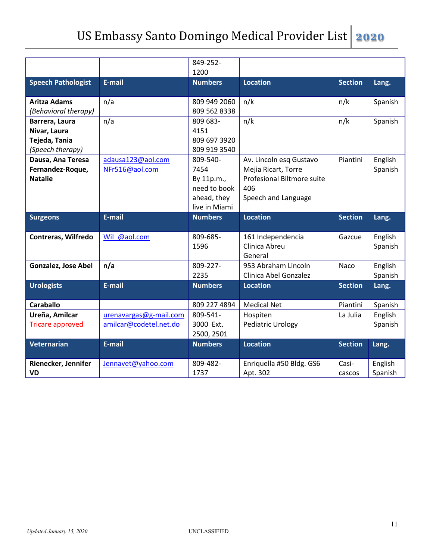|                                                                     |                                                  | 849-252-<br>1200                                                               |                                                                                                            |                 |                    |
|---------------------------------------------------------------------|--------------------------------------------------|--------------------------------------------------------------------------------|------------------------------------------------------------------------------------------------------------|-----------------|--------------------|
| <b>Speech Pathologist</b>                                           | E-mail                                           | <b>Numbers</b>                                                                 | <b>Location</b>                                                                                            | <b>Section</b>  | Lang.              |
| <b>Aritza Adams</b><br>(Behavioral therapy)                         | n/a                                              | 809 949 2060<br>809 562 8338                                                   | n/k                                                                                                        | n/k             | Spanish            |
| Barrera, Laura<br>Nivar, Laura<br>Tejeda, Tania<br>(Speech therapy) | n/a                                              | 809 683-<br>4151<br>809 697 3920<br>809 919 3540                               | n/k                                                                                                        | n/k             | Spanish            |
| Dausa, Ana Teresa<br>Fernandez-Roque,<br><b>Natalie</b>             | adausa123@aol.com<br>NFr516@aol.com              | 809-540-<br>7454<br>By 11p.m.,<br>need to book<br>ahead, they<br>live in Miami | Av. Lincoln esq Gustavo<br>Mejia Ricart, Torre<br>Profesional Biltmore suite<br>406<br>Speech and Language | Piantini        | English<br>Spanish |
| <b>Surgeons</b>                                                     | E-mail                                           | <b>Numbers</b>                                                                 | <b>Location</b>                                                                                            | <b>Section</b>  | Lang.              |
| <b>Contreras, Wilfredo</b>                                          | Wil @aol.com                                     | 809-685-<br>1596                                                               | 161 Independencia<br>Clinica Abreu<br>General                                                              | Gazcue          | English<br>Spanish |
| <b>Gonzalez, Jose Abel</b>                                          | n/a                                              | 809-227-<br>2235                                                               | 953 Abraham Lincoln<br>Clinica Abel Gonzalez                                                               | Naco            | English<br>Spanish |
| <b>Urologists</b>                                                   | E-mail                                           | <b>Numbers</b>                                                                 | <b>Location</b>                                                                                            | <b>Section</b>  | Lang.              |
| <b>Caraballo</b>                                                    |                                                  | 809 227 4894                                                                   | <b>Medical Net</b>                                                                                         | Piantini        | Spanish            |
| Ureña, Amilcar<br><b>Tricare approved</b>                           | urenavargas@g-mail.com<br>amilcar@codetel.net.do | 809-541-<br>3000 Ext.<br>2500, 2501                                            | Hospiten<br><b>Pediatric Urology</b>                                                                       | La Julia        | English<br>Spanish |
| Veternarian                                                         | E-mail                                           | <b>Numbers</b>                                                                 | <b>Location</b>                                                                                            | <b>Section</b>  | Lang.              |
| Rienecker, Jennifer<br><b>VD</b>                                    | Jennavet@yahoo.com                               | 809-482-<br>1737                                                               | Enriquella #50 Bldg. GS6<br>Apt. 302                                                                       | Casi-<br>cascos | English<br>Spanish |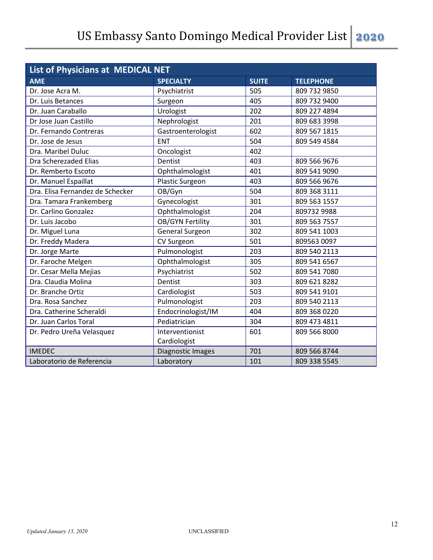| List of Physicians at MEDICAL NET |                         |              |                  |  |
|-----------------------------------|-------------------------|--------------|------------------|--|
| <b>AME</b>                        | <b>SPECIALTY</b>        | <b>SUITE</b> | <b>TELEPHONE</b> |  |
| Dr. Jose Acra M.                  | Psychiatrist            | 505          | 809 732 9850     |  |
| Dr. Luis Betances                 | Surgeon                 | 405          | 809 732 9400     |  |
| Dr. Juan Caraballo                | Urologist               | 202          | 809 227 4894     |  |
| Dr Jose Juan Castillo             | Nephrologist            | 201          | 809 683 3998     |  |
| Dr. Fernando Contreras            | Gastroenterologist      | 602          | 809 567 1815     |  |
| Dr. Jose de Jesus                 | <b>ENT</b>              | 504          | 809 549 4584     |  |
| Dra. Maribel Duluc                | Oncologist              | 402          |                  |  |
| Dra Scherezaded Elias             | Dentist                 | 403          | 809 566 9676     |  |
| Dr. Remberto Escoto               | Ophthalmologist         | 401          | 809 541 9090     |  |
| Dr. Manuel Espaillat              | Plastic Surgeon         | 403          | 809 566 9676     |  |
| Dra. Elisa Fernandez de Schecker  | OB/Gyn                  | 504          | 809 368 3111     |  |
| Dra. Tamara Frankemberg           | Gynecologist            | 301          | 809 563 1557     |  |
| Dr. Carlino Gonzalez              | Ophthalmologist         | 204          | 809732 9988      |  |
| Dr. Luis Jacobo                   | <b>OB/GYN Fertility</b> | 301          | 809 563 7557     |  |
| Dr. Miguel Luna                   | <b>General Surgeon</b>  | 302          | 809 541 1003     |  |
| Dr. Freddy Madera                 | CV Surgeon              | 501          | 809563 0097      |  |
| Dr. Jorge Marte                   | Pulmonologist           | 203          | 809 540 2113     |  |
| Dr. Faroche Melgen                | Ophthalmologist         | 305          | 809 541 6567     |  |
| Dr. Cesar Mella Mejias            | Psychiatrist            | 502          | 809 541 7080     |  |
| Dra. Claudia Molina               | Dentist                 | 303          | 809 621 8282     |  |
| Dr. Branche Ortiz                 | Cardiologist            | 503          | 809 541 9101     |  |
| Dra. Rosa Sanchez                 | Pulmonologist           | 203          | 809 540 2113     |  |
| Dra. Catherine Scheraldi          | Endocrinologist/IM      | 404          | 809 368 0220     |  |
| Dr. Juan Carlos Toral             | Pediatrician            | 304          | 809 473 4811     |  |
| Dr. Pedro Ureña Velasquez         | Interventionist         | 601          | 809 566 8000     |  |
|                                   | Cardiologist            |              |                  |  |
| <b>IMEDEC</b>                     | Diagnostic Images       | 701          | 809 566 8744     |  |
| Laboratorio de Referencia         | Laboratory              | 101          | 809 338 5545     |  |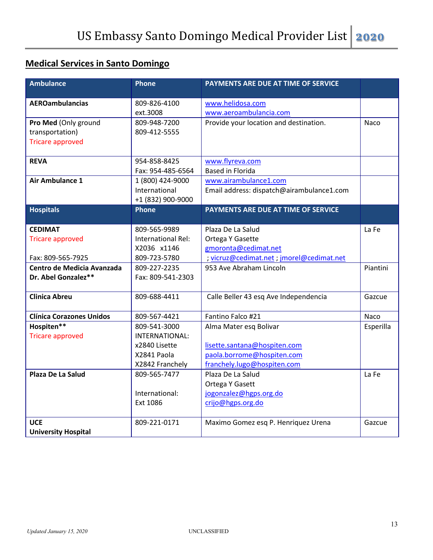#### **Medical Services in Santo Domingo**

| <b>Ambulance</b>                | <b>Phone</b>       | PAYMENTS ARE DUE AT TIME OF SERVICE       |           |
|---------------------------------|--------------------|-------------------------------------------|-----------|
|                                 |                    |                                           |           |
| <b>AEROambulancias</b>          | 809-826-4100       | www.helidosa.com                          |           |
|                                 | ext.3008           | www.aeroambulancia.com                    |           |
| Pro Med (Only ground            | 809-948-7200       | Provide your location and destination.    | Naco      |
| transportation)                 | 809-412-5555       |                                           |           |
| <b>Tricare approved</b>         |                    |                                           |           |
| <b>REVA</b>                     | 954-858-8425       | www.flyreva.com                           |           |
|                                 | Fax: 954-485-6564  | <b>Based in Florida</b>                   |           |
| Air Ambulance 1                 | 1 (800) 424-9000   | www.airambulance1.com                     |           |
|                                 | International      | Email address: dispatch@airambulance1.com |           |
|                                 | +1 (832) 900-9000  |                                           |           |
| <b>Hospitals</b>                | <b>Phone</b>       | PAYMENTS ARE DUE AT TIME OF SERVICE       |           |
|                                 |                    |                                           |           |
| <b>CEDIMAT</b>                  | 809-565-9989       | Plaza De La Salud                         | La Fe     |
| <b>Tricare approved</b>         | International Rel: | Ortega Y Gasette                          |           |
|                                 | X2036 x1146        | gmoronta@cedimat.net                      |           |
| Fax: 809-565-7925               | 809-723-5780       | ; vicruz@cedimat.net ; jmorel@cedimat.net |           |
| Centro de Medicia Avanzada      | 809-227-2235       | 953 Ave Abraham Lincoln                   | Piantini  |
| Dr. Abel Gonzalez**             | Fax: 809-541-2303  |                                           |           |
| <b>Clinica Abreu</b>            | 809-688-4411       | Calle Beller 43 esq Ave Independencia     | Gazcue    |
|                                 |                    |                                           |           |
| <b>Clínica Corazones Unidos</b> | 809-567-4421       | Fantino Falco #21                         | Naco      |
| Hospiten**                      | 809-541-3000       | Alma Mater esq Bolivar                    | Esperilla |
| <b>Tricare approved</b>         | INTERNATIONAL:     |                                           |           |
|                                 | x2840 Lisette      | lisette.santana@hospiten.com              |           |
|                                 | X2841 Paola        | paola.borrome@hospiten.com                |           |
|                                 | X2842 Franchely    | franchely.lugo@hospiten.com               |           |
| Plaza De La Salud               | 809-565-7477       | Plaza De La Salud                         | La Fe     |
|                                 |                    | Ortega Y Gasett                           |           |
|                                 | International:     | jogonzalez@hgps.org.do                    |           |
|                                 | Ext 1086           | crijo@hgps.org.do                         |           |
| <b>UCE</b>                      | 809-221-0171       | Maximo Gomez esq P. Henriquez Urena       | Gazcue    |
| <b>University Hospital</b>      |                    |                                           |           |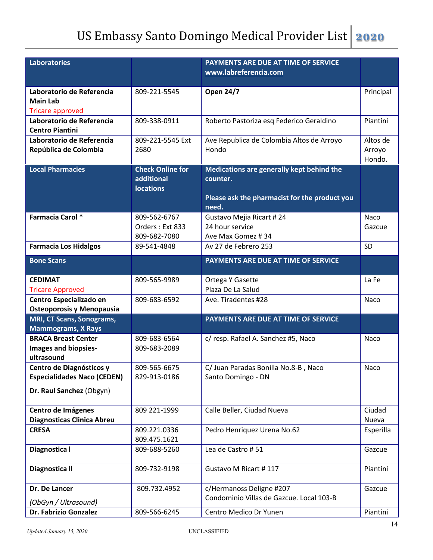| <b>Laboratories</b>                                         |                                                           | PAYMENTS ARE DUE AT TIME OF SERVICE                    |                              |
|-------------------------------------------------------------|-----------------------------------------------------------|--------------------------------------------------------|------------------------------|
|                                                             |                                                           | www.labreferencia.com                                  |                              |
| Laboratorio de Referencia                                   | 809-221-5545                                              | <b>Open 24/7</b>                                       | Principal                    |
| <b>Main Lab</b>                                             |                                                           |                                                        |                              |
| <b>Tricare approved</b>                                     |                                                           |                                                        |                              |
| Laboratorio de Referencia<br><b>Centro Piantini</b>         | 809-338-0911                                              | Roberto Pastoriza esq Federico Geraldino               | Piantini                     |
| Laboratorio de Referencia<br>República de Colombia          | 809-221-5545 Ext<br>2680                                  | Ave Republica de Colombia Altos de Arroyo<br>Hondo     | Altos de<br>Arroyo<br>Hondo. |
| <b>Local Pharmacies</b>                                     | <b>Check Online for</b><br>additional<br><b>locations</b> | Medications are generally kept behind the<br>counter.  |                              |
|                                                             |                                                           | Please ask the pharmacist for the product you<br>need. |                              |
| <b>Farmacia Carol *</b>                                     | 809-562-6767                                              | Gustavo Mejia Ricart #24                               | Naco                         |
|                                                             | Orders: Ext 833                                           | 24 hour service                                        | Gazcue                       |
| <b>Farmacia Los Hidalgos</b>                                | 809-682-7080<br>89-541-4848                               | Ave Max Gomez #34<br>Av 27 de Febrero 253              | SD                           |
|                                                             |                                                           |                                                        |                              |
| <b>Bone Scans</b>                                           |                                                           | PAYMENTS ARE DUE AT TIME OF SERVICE                    |                              |
| <b>CEDIMAT</b>                                              | 809-565-9989                                              | Ortega Y Gasette                                       | La Fe                        |
| <b>Tricare Approved</b>                                     |                                                           | Plaza De La Salud                                      |                              |
| Centro Especializado en<br><b>Osteoporosis y Menopausia</b> | 809-683-6592                                              | Ave. Tiradentes #28                                    | Naco                         |
| <b>MRI, CT Scans, Sonograms,</b>                            |                                                           | PAYMENTS ARE DUE AT TIME OF SERVICE                    |                              |
| <b>Mammograms, X Rays</b>                                   |                                                           |                                                        |                              |
| <b>BRACA Breast Center</b>                                  | 809-683-6564                                              | c/ resp. Rafael A. Sanchez #5, Naco                    | Naco                         |
| <b>Images and biopsies-</b><br>ultrasound                   | 809-683-2089                                              |                                                        |                              |
| Centro de Diagnósticos y                                    | 809-565-6675                                              | C/ Juan Paradas Bonilla No.8-B, Naco                   | Naco                         |
| <b>Especialidades Naco (CEDEN)</b>                          | 829-913-0186                                              | Santo Domingo - DN                                     |                              |
| Dr. Raul Sanchez (Obgyn)                                    |                                                           |                                                        |                              |
| Centro de Imágenes                                          | 809 221-1999                                              | Calle Beller, Ciudad Nueva                             | Ciudad                       |
| <b>Diagnosticas Clinica Abreu</b>                           |                                                           |                                                        | Nueva                        |
| <b>CRESA</b>                                                | 809.221.0336<br>809.475.1621                              | Pedro Henriquez Urena No.62                            | Esperilla                    |
| Diagnostica I                                               | 809-688-5260                                              | Lea de Castro #51                                      | Gazcue                       |
| Diagnostica II                                              | 809-732-9198                                              | Gustavo M Ricart #117                                  | Piantini                     |
| Dr. De Lancer                                               | 809.732.4952                                              | c/Hermanoss Deligne #207                               | Gazcue                       |
| (ObGyn / Ultrasound)                                        |                                                           | Condominio Villas de Gazcue. Local 103-B               |                              |
| Dr. Fabrizio Gonzalez                                       | 809-566-6245                                              | Centro Medico Dr Yunen                                 | Piantini                     |